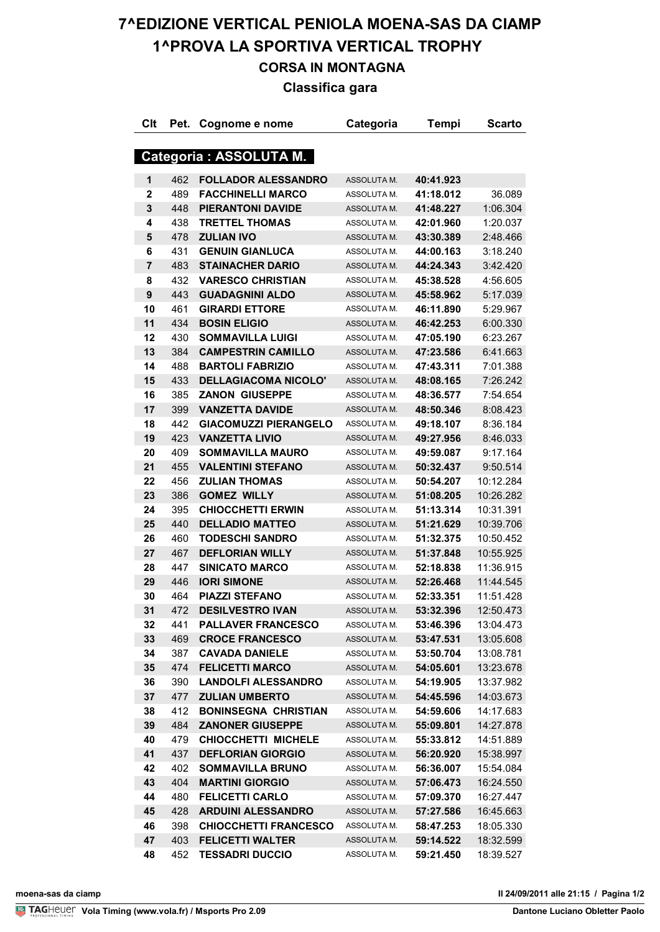# **7^EDIZIONE VERTICAL PENIOLA MOENA-SAS DA CIAMP 1^PROVA LA SPORTIVA VERTICAL TROPHY CORSA IN MONTAGNA**

### **Classifica gara**

| Clt                     | Pet. | Cognome e nome               | Categoria   | Tempi     | <b>Scarto</b> |
|-------------------------|------|------------------------------|-------------|-----------|---------------|
|                         |      |                              |             |           |               |
|                         |      | Categoria : ASSOLUTA M.      |             |           |               |
| 1                       | 462  | <b>FOLLADOR ALESSANDRO</b>   | ASSOLUTA M. | 40:41.923 |               |
| $\mathbf 2$             | 489  | <b>FACCHINELLI MARCO</b>     | ASSOLUTA M. | 41:18.012 | 36.089        |
| $\mathbf{3}$            | 448  | <b>PIERANTONI DAVIDE</b>     | ASSOLUTA M. | 41:48.227 | 1:06.304      |
| 4                       | 438  | <b>TRETTEL THOMAS</b>        | ASSOLUTA M. | 42:01.960 | 1:20.037      |
| 5                       | 478  | <b>ZULIAN IVO</b>            | ASSOLUTA M. | 43:30.389 | 2:48.466      |
| 6                       | 431  | <b>GENUIN GIANLUCA</b>       | ASSOLUTA M. | 44:00.163 | 3:18.240      |
| $\overline{\mathbf{r}}$ | 483  | <b>STAINACHER DARIO</b>      | ASSOLUTA M. | 44:24.343 | 3:42.420      |
| 8                       | 432  | <b>VARESCO CHRISTIAN</b>     | ASSOLUTA M. | 45:38.528 | 4:56.605      |
| $\boldsymbol{9}$        | 443  | <b>GUADAGNINI ALDO</b>       | ASSOLUTA M. | 45:58.962 | 5:17.039      |
| 10                      | 461  | <b>GIRARDI ETTORE</b>        | ASSOLUTA M. | 46:11.890 | 5:29.967      |
| 11                      | 434  | <b>BOSIN ELIGIO</b>          | ASSOLUTA M. | 46:42.253 | 6:00.330      |
| 12                      | 430  | <b>SOMMAVILLA LUIGI</b>      | ASSOLUTA M. | 47:05.190 | 6:23.267      |
| 13                      | 384  | <b>CAMPESTRIN CAMILLO</b>    | ASSOLUTA M. | 47:23.586 | 6:41.663      |
| 14                      | 488  | <b>BARTOLI FABRIZIO</b>      | ASSOLUTA M. | 47:43.311 | 7:01.388      |
| 15                      | 433  | <b>DELLAGIACOMA NICOLO'</b>  | ASSOLUTA M. | 48:08.165 | 7:26.242      |
| 16                      | 385  | <b>ZANON GIUSEPPE</b>        | ASSOLUTA M. | 48:36.577 | 7:54.654      |
| 17                      | 399  | <b>VANZETTA DAVIDE</b>       | ASSOLUTA M. | 48:50.346 | 8:08.423      |
| 18                      | 442  | <b>GIACOMUZZI PIERANGELO</b> | ASSOLUTA M. | 49:18.107 | 8:36.184      |
| 19                      | 423  | <b>VANZETTA LIVIO</b>        | ASSOLUTA M. | 49:27.956 | 8:46.033      |
| 20                      | 409  | <b>SOMMAVILLA MAURO</b>      | ASSOLUTA M. | 49:59.087 | 9:17.164      |
| 21                      | 455  | <b>VALENTINI STEFANO</b>     | ASSOLUTA M. | 50:32.437 | 9:50.514      |
| 22                      | 456  | <b>ZULIAN THOMAS</b>         | ASSOLUTA M. | 50:54.207 | 10:12.284     |
| 23                      | 386  | <b>GOMEZ WILLY</b>           | ASSOLUTA M. | 51:08.205 | 10:26.282     |
| 24                      | 395  | <b>CHIOCCHETTI ERWIN</b>     | ASSOLUTA M. | 51:13.314 | 10:31.391     |
| 25                      | 440  | <b>DELLADIO MATTEO</b>       | ASSOLUTA M. | 51:21.629 | 10:39.706     |
| 26                      | 460  | <b>TODESCHI SANDRO</b>       | ASSOLUTA M. | 51:32.375 | 10:50.452     |
| 27                      | 467  | <b>DEFLORIAN WILLY</b>       | ASSOLUTA M. | 51:37.848 | 10:55.925     |
| 28                      | 447  | <b>SINICATO MARCO</b>        | ASSOLUTA M. | 52:18.838 | 11:36.915     |
| 29                      | 446  | <b>IORI SIMONE</b>           | ASSOLUTA M. | 52:26.468 | 11:44.545     |
| 30                      | 464  | <b>PIAZZI STEFANO</b>        | ASSOLUTA M. | 52:33.351 | 11:51.428     |
| 31                      | 472  | <b>DESILVESTRO IVAN</b>      | ASSOLUTA M. | 53:32.396 | 12:50.473     |
| 32                      | 441  | <b>PALLAVER FRANCESCO</b>    | ASSOLUTA M. | 53:46.396 | 13:04.473     |
| 33                      | 469  | <b>CROCE FRANCESCO</b>       | ASSOLUTA M. | 53:47.531 | 13:05.608     |
| 34                      | 387  | <b>CAVADA DANIELE</b>        | ASSOLUTA M. | 53:50.704 | 13:08.781     |
| 35                      | 474  | <b>FELICETTI MARCO</b>       | ASSOLUTA M. | 54:05.601 | 13:23.678     |
| 36                      | 390  | <b>LANDOLFI ALESSANDRO</b>   | ASSOLUTA M. | 54:19.905 | 13:37.982     |
| 37                      | 477  | <b>ZULIAN UMBERTO</b>        | ASSOLUTA M. | 54:45.596 | 14:03.673     |
| 38                      | 412  | <b>BONINSEGNA CHRISTIAN</b>  | ASSOLUTA M. | 54:59.606 | 14:17.683     |
| 39                      | 484  | <b>ZANONER GIUSEPPE</b>      | ASSOLUTA M. | 55:09.801 | 14:27.878     |
| 40                      | 479  | <b>CHIOCCHETTI MICHELE</b>   | ASSOLUTA M. | 55:33.812 | 14:51.889     |
| 41                      | 437  | <b>DEFLORIAN GIORGIO</b>     | ASSOLUTA M. | 56:20.920 | 15:38.997     |
| 42                      | 402  | <b>SOMMAVILLA BRUNO</b>      | ASSOLUTA M. | 56:36.007 | 15:54.084     |
| 43                      | 404  | <b>MARTINI GIORGIO</b>       | ASSOLUTA M. | 57:06.473 | 16:24.550     |
| 44                      | 480  | <b>FELICETTI CARLO</b>       | ASSOLUTA M. | 57:09.370 | 16:27.447     |
| 45                      | 428  | <b>ARDUINI ALESSANDRO</b>    | ASSOLUTA M. | 57:27.586 | 16:45.663     |
| 46                      | 398  | <b>CHIOCCHETTI FRANCESCO</b> | ASSOLUTA M. | 58:47.253 | 18:05.330     |
| 47                      | 403  | <b>FELICETTI WALTER</b>      | ASSOLUTA M. | 59:14.522 | 18:32.599     |
| 48                      | 452  | <b>TESSADRI DUCCIO</b>       | ASSOLUTA M. | 59:21.450 | 18:39.527     |
|                         |      |                              |             |           |               |

**VolaSoftControlPdf moena-sas da ciamp Il 24/09/2011 alle 21:15 / Pagina 1/2**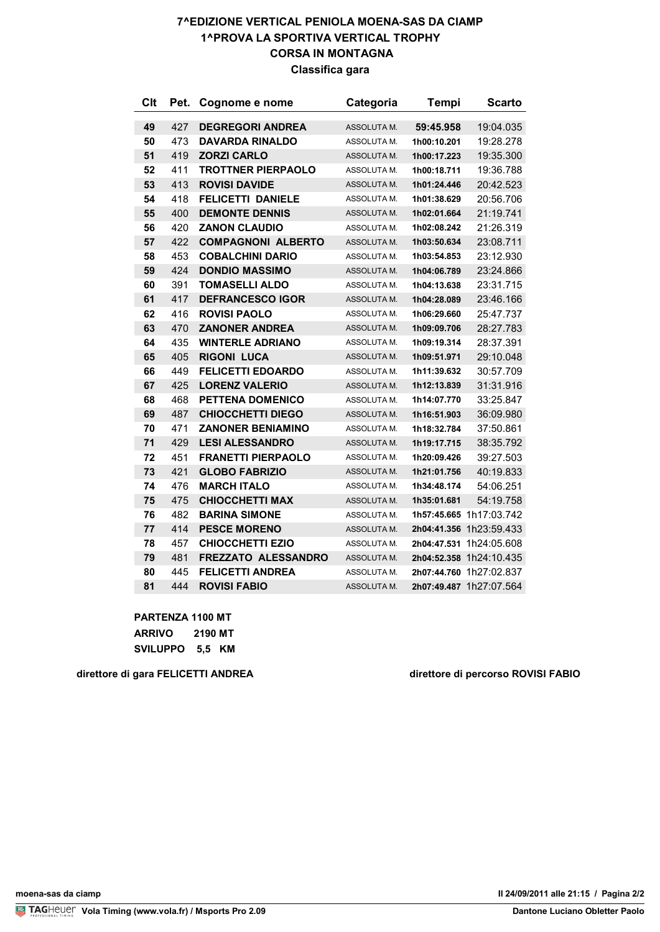#### **7^EDIZIONE VERTICAL PENIOLA MOENA-SAS DA CIAMP 1^PROVA LA SPORTIVA VERTICAL TROPHY CORSA IN MONTAGNA Classifica gara**

| Clt | Pet. | Cognome e nome             | Categoria   | Tempi       | <b>Scarto</b>           |
|-----|------|----------------------------|-------------|-------------|-------------------------|
| 49  | 427  | <b>DEGREGORI ANDREA</b>    | ASSOLUTA M. | 59:45.958   | 19:04.035               |
| 50  | 473  | <b>DAVARDA RINALDO</b>     | ASSOLUTA M. | 1h00:10.201 | 19:28.278               |
| 51  | 419  | <b>ZORZI CARLO</b>         | ASSOLUTA M. | 1h00:17.223 | 19:35.300               |
| 52  | 411  | <b>TROTTNER PIERPAOLO</b>  | ASSOLUTA M. | 1h00:18.711 | 19:36.788               |
| 53  | 413  | <b>ROVISI DAVIDE</b>       | ASSOLUTA M. | 1h01:24.446 | 20:42.523               |
| 54  | 418  | <b>FELICETTI DANIELE</b>   | ASSOLUTA M. | 1h01:38.629 | 20:56.706               |
| 55  | 400  | <b>DEMONTE DENNIS</b>      | ASSOLUTA M. | 1h02:01.664 | 21:19.741               |
| 56  | 420  | <b>ZANON CLAUDIO</b>       | ASSOLUTA M. | 1h02:08.242 | 21:26.319               |
| 57  | 422  | <b>COMPAGNONI ALBERTO</b>  | ASSOLUTA M. | 1h03:50.634 | 23:08.711               |
| 58  | 453  | <b>COBALCHINI DARIO</b>    | ASSOLUTA M. | 1h03:54.853 | 23:12.930               |
| 59  | 424  | <b>DONDIO MASSIMO</b>      | ASSOLUTA M. | 1h04:06.789 | 23:24.866               |
| 60  | 391  | <b>TOMASELLI ALDO</b>      | ASSOLUTA M. | 1h04:13.638 | 23:31.715               |
| 61  | 417  | <b>DEFRANCESCO IGOR</b>    | ASSOLUTA M. | 1h04:28.089 | 23:46.166               |
| 62  | 416  | <b>ROVISI PAOLO</b>        | ASSOLUTA M. | 1h06:29.660 | 25:47.737               |
| 63  | 470  | <b>ZANONER ANDREA</b>      | ASSOLUTA M. | 1h09:09.706 | 28:27.783               |
| 64  | 435  | <b>WINTERLE ADRIANO</b>    | ASSOLUTA M. | 1h09:19.314 | 28:37.391               |
| 65  | 405  | <b>RIGONI LUCA</b>         | ASSOLUTA M. | 1h09:51.971 | 29:10.048               |
| 66  | 449  | <b>FELICETTI EDOARDO</b>   | ASSOLUTA M. | 1h11:39.632 | 30:57.709               |
| 67  | 425  | <b>LORENZ VALERIO</b>      | ASSOLUTA M. | 1h12:13.839 | 31:31.916               |
| 68  | 468  | PETTENA DOMENICO           | ASSOLUTA M. | 1h14:07.770 | 33:25.847               |
| 69  | 487  | <b>CHIOCCHETTI DIEGO</b>   | ASSOLUTA M. | 1h16:51.903 | 36:09.980               |
| 70  | 471  | <b>ZANONER BENIAMINO</b>   | ASSOLUTA M. | 1h18:32.784 | 37:50.861               |
| 71  | 429  | <b>LESI ALESSANDRO</b>     | ASSOLUTA M. | 1h19:17.715 | 38:35.792               |
| 72  | 451  | <b>FRANETTI PIERPAOLO</b>  | ASSOLUTA M. | 1h20:09.426 | 39:27.503               |
| 73  | 421  | <b>GLOBO FABRIZIO</b>      | ASSOLUTA M. | 1h21:01.756 | 40:19.833               |
| 74  | 476  | <b>MARCH ITALO</b>         | ASSOLUTA M. | 1h34:48.174 | 54:06.251               |
| 75  | 475  | <b>CHIOCCHETTI MAX</b>     | ASSOLUTA M. | 1h35:01.681 | 54:19.758               |
| 76  | 482  | <b>BARINA SIMONE</b>       | ASSOLUTA M. |             | 1h57:45.665 1h17:03.742 |
| 77  | 414  | <b>PESCE MORENO</b>        | ASSOLUTA M. |             | 2h04:41.356 1h23:59.433 |
| 78  | 457  | <b>CHIOCCHETTI EZIO</b>    | ASSOLUTA M. |             | 2h04:47.531 1h24:05.608 |
| 79  | 481  | <b>FREZZATO ALESSANDRO</b> | ASSOLUTA M. |             | 2h04:52.358 1h24:10.435 |
| 80  | 445  | <b>FELICETTI ANDREA</b>    | ASSOLUTA M. |             | 2h07:44.760 1h27:02.837 |
| 81  | 444  | <b>ROVISI FABIO</b>        | ASSOLUTA M. |             | 2h07:49.487 1h27:07.564 |

**PARTENZA 1100 MT**

| ARRIVO          | 2190 MT |  |
|-----------------|---------|--|
| <b>SVILUPPO</b> | 5.5 KM  |  |

**direttore di gara FELICETTI ANDREA direttore di percorso ROVISI FABIO**

**Vola Timing (www.vola.fr) / Msports Pro 2.09 Dantone Luciano Obletter Paolo** 

**VolaSoftControlPdf moena-sas da ciamp Il 24/09/2011 alle 21:15 / Pagina 2/2**